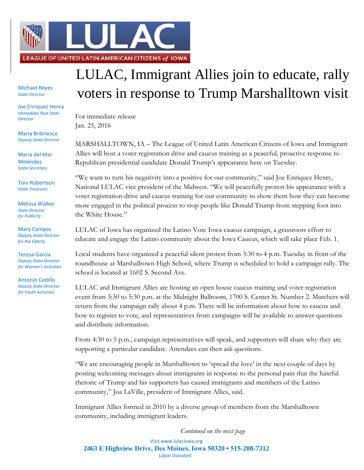

Michael Reyes *State Director*

Joe Enriquez Henry *Immediate Past State Director*

Maria Bribriesco *Deputy State Director*

Maria del Mar Melendez *State Secretary*

Toni Robertson *State Treasurer*

Melissa Walker *State Director for Publicity*

Mary Campos *Deputy State Director for the Elderly*

Teresa Garcia *Deputy State Director for Women's Activities*

Antonio Cedillo *Deputy State Director for Youth Activities*

## LULAC, Immigrant Allies join to educate, rally voters in response to Trump Marshalltown visit

For immediate release Jan. 25, 2016

MARSHALLTOWN, IA – The League of United Latin American Citizens of Iowa and Immigrant Allies will host a voter registration drive and caucus training as a peaceful, proactive response to Republican presidential candidate Donald Trump's appearance here on Tuesday.

"We want to turn his negativity into a positive for our community," said Joe Enriquez Henry, National LULAC vice president of the Midwest. "We will peacefully protest his appearance with a voter registration drive and caucus training for our community to show them how they can become more engaged in the political process to stop people like Donald Trump from stepping foot into the White House."

LULAC of Iowa has organized the Latino Vote Iowa caucus campaign, a grassroots effort to educate and engage the Latino community about the Iowa Caucus, which will take place Feb. 1.

Local students have organized a peaceful silent protest from 3:30 to 4 p.m. Tuesday in front of the roundhouse at Marshalltown High School, where Trump is scheduled to hold a campaign rally. The school is located at 1602 S. Second Ave.

LULAC and Immigrant Allies are hosting an open house caucus training and voter registration event from 3:30 to 5:30 p.m. at the Midnight Ballroom, 1700 S. Center St. Number 2. Marchers will return from the campaign rally about 4 p.m. There will be information about how to caucus and how to register to vote, and representatives from campaigns will be available to answer questions and distribute information.

From 4:30 to 5 p.m., campaign representatives will speak, and supporters will share why they are supporting a particular candidate. Attendees can then ask questions.

"We are encouraging people in Marshalltown to 'spread the love' in the next couple of days by posting welcoming messages about immigrants in response to the personal pain that the hateful rhetoric of Trump and his supporters has caused immigrants and members of the Latino community," Joa LaVille, president of Immigrant Allies, said.

Immigrant Allies formed in 2010 by a diverse group of members from the Marshalltown community, including immigrant leaders.

Visit www.lulaciowa.org **2463 E Highview Drive, Des Moines, Iowa 50320 • 515-208-7312** Labor Donated *Continued on the next page*